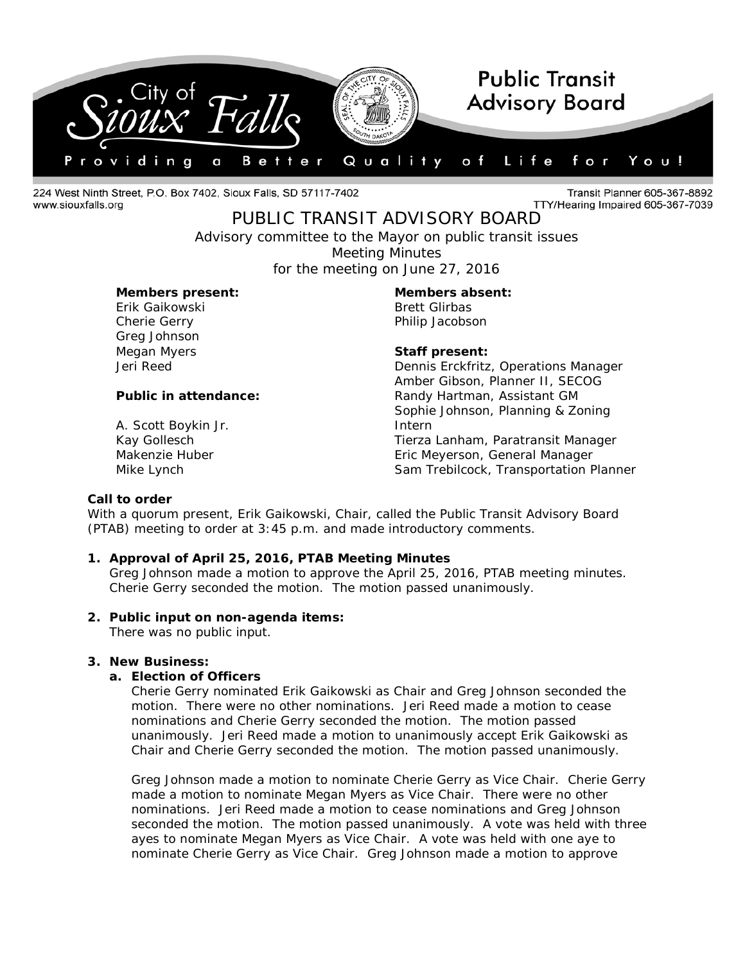

224 West Ninth Street, P.O. Box 7402, Sioux Falls, SD 57117-7402 www.siouxfalls.org

Transit Planner 605-367-8892 TTY/Hearing Impaired 605-367-7039

# PUBLIC TRANSIT ADVISORY BOARD

*Advisory committee to the Mayor on public transit issues* Meeting Minutes for the meeting on June 27, 2016

# **Members present: Members absent:**

Erik Gaikowski **Brett Glirbas** Greg Johnson

A. Scott Boykin Jr.

Cherie Gerry **Philip Jacobson** 

# Megan Myers **Staff present:**

Jeri Reed Dennis Erckfritz, Operations Manager Amber Gibson, Planner II, SECOG **Public in attendance:** Randy Hartman, Assistant GM Sophie Johnson, Planning & Zoning Intern Kay Gollesch Tierza Lanham, Paratransit Manager Makenzie Huber Eric Meyerson, General Manager Mike Lynch Sam Trebilcock, Transportation Planner

### **Call to order**

With a quorum present, Erik Gaikowski, Chair, called the Public Transit Advisory Board (PTAB) meeting to order at 3:45 p.m. and made introductory comments.

# **1. Approval of April 25, 2016, PTAB Meeting Minutes**

Greg Johnson made a motion to approve the April 25, 2016, PTAB meeting minutes. Cherie Gerry seconded the motion. The motion passed unanimously.

### **2. Public input on non-agenda items:**

There was no public input.

# **3. New Business:**

### **a. Election of Officers**

Cherie Gerry nominated Erik Gaikowski as Chair and Greg Johnson seconded the motion. There were no other nominations. Jeri Reed made a motion to cease nominations and Cherie Gerry seconded the motion. The motion passed unanimously. Jeri Reed made a motion to unanimously accept Erik Gaikowski as Chair and Cherie Gerry seconded the motion. The motion passed unanimously.

Greg Johnson made a motion to nominate Cherie Gerry as Vice Chair. Cherie Gerry made a motion to nominate Megan Myers as Vice Chair. There were no other nominations. Jeri Reed made a motion to cease nominations and Greg Johnson seconded the motion. The motion passed unanimously. A vote was held with three ayes to nominate Megan Myers as Vice Chair. A vote was held with one aye to nominate Cherie Gerry as Vice Chair. Greg Johnson made a motion to approve